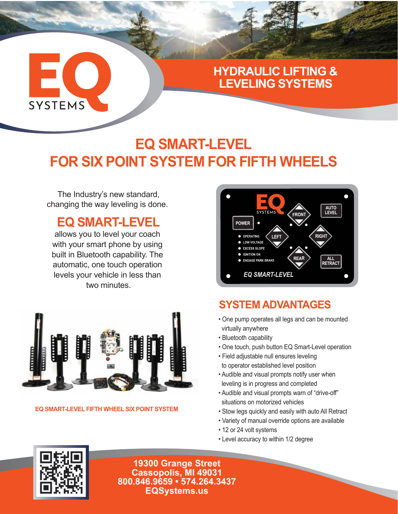## $\blacksquare$ **SYSTEMS**

#### **HYDRAULIC LIFTING & LEVELING SYSTEMS**

### **EQ SMART-LEVEL FOR SIX POINT SYSTEM FOR FIFTH WHEELS**

The Industry's new standard, changing the way leveling is done.

#### **EQ SMART-LEVEL**

allows you to level your coach with your smart phone by using built in Bluetooth capability. The automatic, one touch operation levels your vehicle in less than two minutes.



#### **EQ SMART-LEVEL FIFTH WHEEL SIX POINT SYSTEM**



#### **SYSTEM ADVANTAGES**

- One pump operates all legs and can be mounted virtually anywhere
- Bluetooth capability
- One touch, push button EQ Smart-Level operation
- Field adjustable null ensures leveling to operator established level position
- Audible and visual prompts notify user when leveling is in progress and completed
- Audible and visual prompts warn of "drive-off" situations on motorized vehicles
- Stow legs quickly and easily with auto All Retract
- Variety of manual override options are available
- 12 or 24 volt systems
- Level accuracy to within 1/2 degree



**19300 Grange Street Cassopolis, MI 49031 800.846.9659 • 574.264.3437 EQSystems.us**